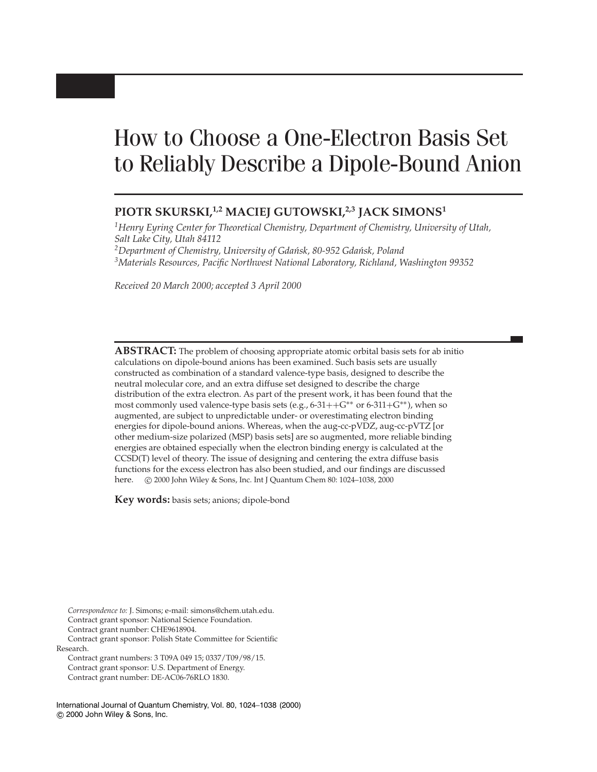# How to Choose a One-Electron Basis Set to Reliably Describe a Dipole-Bound Anion

## **PIOTR SKURSKI,1,2 MACIEJ GUTOWSKI,2,3 JACK SIMONS<sup>1</sup>**

*1Henry Eyring Center for Theoretical Chemistry, Department of Chemistry, University of Utah, Salt Lake City, Utah 84112*

*2Department of Chemistry, University of Gda´nsk, 80-952 Gda´nsk, Poland 3Materials Resources, Pacific Northwest National Laboratory, Richland, Washington 99352*

*Received 20 March 2000; accepted 3 April 2000*

**ABSTRACT:** The problem of choosing appropriate atomic orbital basis sets for ab initio calculations on dipole-bound anions has been examined. Such basis sets are usually constructed as combination of a standard valence-type basis, designed to describe the neutral molecular core, and an extra diffuse set designed to describe the charge distribution of the extra electron. As part of the present work, it has been found that the most commonly used valence-type basis sets (e.g.,  $6-31++G^{**}$  or  $6-311+G^{**}$ ), when so augmented, are subject to unpredictable under- or overestimating electron binding energies for dipole-bound anions. Whereas, when the aug-cc-pVDZ, aug-cc-pVTZ [or other medium-size polarized (MSP) basis sets] are so augmented, more reliable binding energies are obtained especially when the electron binding energy is calculated at the CCSD(T) level of theory. The issue of designing and centering the extra diffuse basis functions for the excess electron has also been studied, and our findings are discussed here.  $\circ$  2000 John Wiley & Sons, Inc. Int J Quantum Chem 80: 1024-1038, 2000

**Key words:** basis sets; anions; dipole-bond

*Correspondence to:* J. Simons; e-mail: simons@chem.utah.edu. Contract grant sponsor: National Science Foundation. Contract grant number: CHE9618904. Contract grant sponsor: Polish State Committee for Scientific Research.

Contract grant numbers: 3 T09A 049 15; 0337/T09/98/15. Contract grant sponsor: U.S. Department of Energy. Contract grant number: DE-AC06-76RLO 1830.

International Journal of Quantum Chemistry, Vol. 80, 1024–1038 (2000) c 2000 John Wiley & Sons, Inc.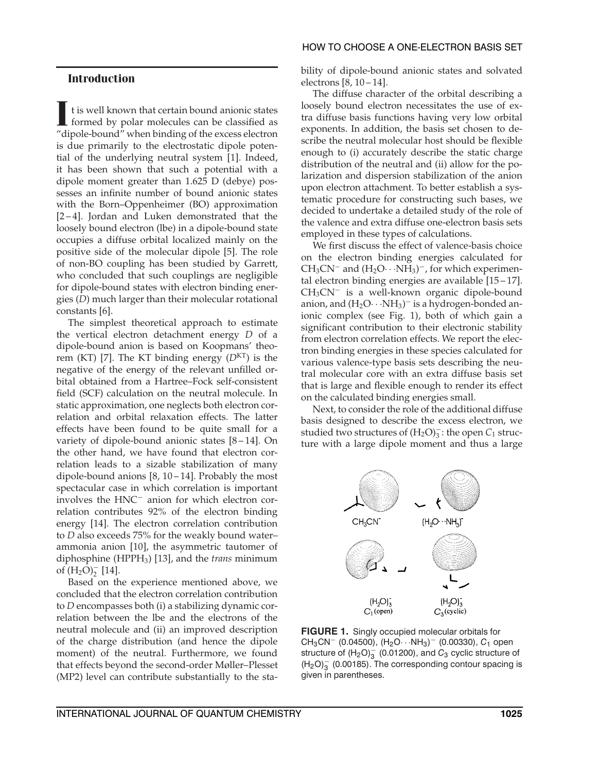## **Introduction**

I t is well known that certain bound anionic states formed by polar molecules can be classified as "dipole-bound" when binding of the excess electron is due primarily to the electrostatic dipole potential of the underlying neutral system [1]. Indeed, it has been shown that such a potential with a dipole moment greater than 1.625 D (debye) possesses an infinite number of bound anionic states with the Born–Oppenheimer (BO) approximation [2 – 4]. Jordan and Luken demonstrated that the loosely bound electron (lbe) in a dipole-bound state occupies a diffuse orbital localized mainly on the positive side of the molecular dipole [5]. The role of non-BO coupling has been studied by Garrett, who concluded that such couplings are negligible for dipole-bound states with electron binding energies (*D*) much larger than their molecular rotational constants [6].

The simplest theoretical approach to estimate the vertical electron detachment energy *D* of a dipole-bound anion is based on Koopmans' theorem (KT) [7]. The KT binding energy  $(D<sup>KT</sup>)$  is the negative of the energy of the relevant unfilled orbital obtained from a Hartree–Fock self-consistent field (SCF) calculation on the neutral molecule. In static approximation, one neglects both electron correlation and orbital relaxation effects. The latter effects have been found to be quite small for a variety of dipole-bound anionic states [8 – 14]. On the other hand, we have found that electron correlation leads to a sizable stabilization of many dipole-bound anions [8, 10 – 14]. Probably the most spectacular case in which correlation is important involves the HNC<sup>−</sup> anion for which electron correlation contributes 92% of the electron binding energy [14]. The electron correlation contribution to *D* also exceeds 75% for the weakly bound water– ammonia anion [10], the asymmetric tautomer of diphosphine (HPPH3) [13], and the *trans* minimum of  $(H_2O)_2^-$  [14].

Based on the experience mentioned above, we concluded that the electron correlation contribution to *D* encompasses both (i) a stabilizing dynamic correlation between the lbe and the electrons of the neutral molecule and (ii) an improved description of the charge distribution (and hence the dipole moment) of the neutral. Furthermore, we found that effects beyond the second-order Møller–Plesset (MP2) level can contribute substantially to the stability of dipole-bound anionic states and solvated electrons  $[8, 10-14]$ .

The diffuse character of the orbital describing a loosely bound electron necessitates the use of extra diffuse basis functions having very low orbital exponents. In addition, the basis set chosen to describe the neutral molecular host should be flexible enough to (i) accurately describe the static charge distribution of the neutral and (ii) allow for the polarization and dispersion stabilization of the anion upon electron attachment. To better establish a systematic procedure for constructing such bases, we decided to undertake a detailed study of the role of the valence and extra diffuse one-electron basis sets employed in these types of calculations.

We first discuss the effect of valence-basis choice on the electron binding energies calculated for  $CH<sub>3</sub>CN<sup>-</sup>$  and  $(H<sub>2</sub>O $\cdots NH<sub>3</sub>)<sup>-</sup>$ , for which experimen$ tal electron binding energies are available  $[15-17]$ . CH3CN<sup>−</sup> is a well-known organic dipole-bound anion, and  $(H_2O \cdots NH_3)^-$  is a hydrogen-bonded anionic complex (see Fig. 1), both of which gain a significant contribution to their electronic stability from electron correlation effects. We report the electron binding energies in these species calculated for various valence-type basis sets describing the neutral molecular core with an extra diffuse basis set that is large and flexible enough to render its effect on the calculated binding energies small.

Next, to consider the role of the additional diffuse basis designed to describe the excess electron, we studied two structures of (H<sub>2</sub>O)<sub>3</sub>: the open *C*<sub>1</sub> structure with a large dipole moment and thus a large



**FIGURE 1.** Singly occupied molecular orbitals for CH<sub>3</sub>CN<sup>−</sup> (0.04500), (H<sub>2</sub>O⋅⋅⋅NH<sub>3</sub>)<sup>−</sup> (0.00330), C<sub>1</sub> open structure of  $(\mathsf{H}_2\mathsf{O})_3^-$  (0.01200), and  $\mathsf{C}_3$  cyclic structure of  $(H<sub>2</sub>O)<sub>3</sub>$  (0.00185). The corresponding contour spacing is given in parentheses.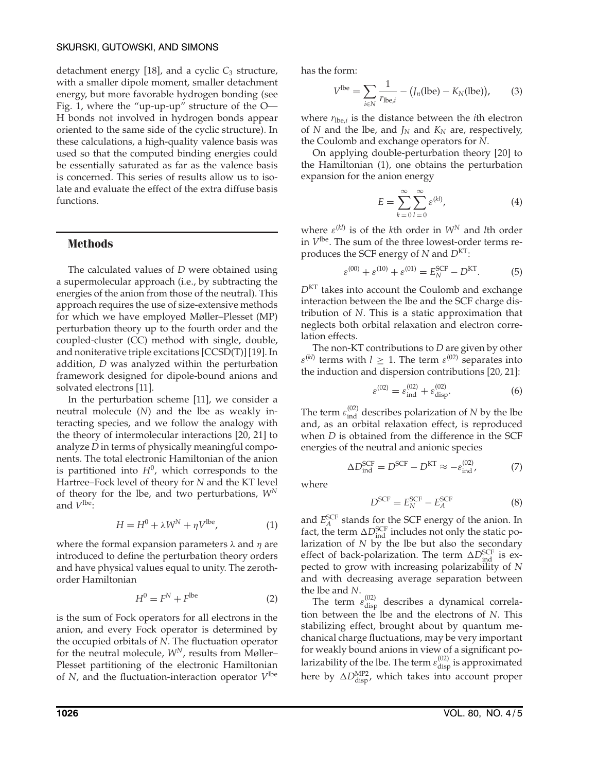detachment energy  $[18]$ , and a cyclic  $C_3$  structure, with a smaller dipole moment, smaller detachment energy, but more favorable hydrogen bonding (see Fig. 1, where the "up-up-up" structure of the O— H bonds not involved in hydrogen bonds appear oriented to the same side of the cyclic structure). In these calculations, a high-quality valence basis was used so that the computed binding energies could be essentially saturated as far as the valence basis is concerned. This series of results allow us to isolate and evaluate the effect of the extra diffuse basis functions.

## **Methods**

The calculated values of *D* were obtained using a supermolecular approach (i.e., by subtracting the energies of the anion from those of the neutral). This approach requires the use of size-extensive methods for which we have employed Møller–Plesset (MP) perturbation theory up to the fourth order and the coupled-cluster (CC) method with single, double, and noniterative triple excitations [CCSD(T)] [19]. In addition, *D* was analyzed within the perturbation framework designed for dipole-bound anions and solvated electrons [11].

In the perturbation scheme [11], we consider a neutral molecule (*N*) and the lbe as weakly interacting species, and we follow the analogy with the theory of intermolecular interactions [20, 21] to analyze *D* in terms of physically meaningful components. The total electronic Hamiltonian of the anion is partitioned into  $H^0$ , which corresponds to the Hartree–Fock level of theory for *N* and the KT level of theory for the lbe, and two perturbations, *W<sup>N</sup>* and *V*lbe:

$$
H = H^0 + \lambda W^N + \eta V^{\text{lbe}}, \tag{1}
$$

where the formal expansion parameters *λ* and *η* are introduced to define the perturbation theory orders and have physical values equal to unity. The zerothorder Hamiltonian

$$
H^0 = F^N + F^{\text{lbe}} \tag{2}
$$

is the sum of Fock operators for all electrons in the anion, and every Fock operator is determined by the occupied orbitals of *N*. The fluctuation operator for the neutral molecule, *W<sup>N</sup>*, results from Møller– Plesset partitioning of the electronic Hamiltonian of *N*, and the fluctuation-interaction operator *V*lbe has the form:

$$
V^{\text{lbe}} = \sum_{i \in N} \frac{1}{r_{\text{lbe},i}} - (J_n(\text{lbe}) - K_N(\text{lbe})), \tag{3}
$$

where *r*lbe,*<sup>i</sup>* is the distance between the *i*th electron of *N* and the lbe, and  $J_N$  and  $K_N$  are, respectively, the Coulomb and exchange operators for *N*.

On applying double-perturbation theory [20] to the Hamiltonian (1), one obtains the perturbation expansion for the anion energy

$$
E = \sum_{k=0}^{\infty} \sum_{l=0}^{\infty} \varepsilon^{(kl)},
$$
 (4)

where  $\varepsilon^{(kl)}$  is of the *k*th order in  $W^N$  and *l*th order in  $V^{\text{lbe}}$ . The sum of the three lowest-order terms reproduces the SCF energy of *N* and *D*KT:

$$
\varepsilon^{(00)} + \varepsilon^{(10)} + \varepsilon^{(01)} = E_N^{\text{SCF}} - D^{\text{KT}}.
$$
 (5)

*D*KT takes into account the Coulomb and exchange interaction between the lbe and the SCF charge distribution of *N*. This is a static approximation that neglects both orbital relaxation and electron correlation effects.

The non-KT contributions to *D* are given by other *ε*<sup>(*kl*)</sup> terms with *l*  $\geq$  1. The term *ε*<sup>(02)</sup> separates into the induction and dispersion contributions [20, 21]:

$$
\varepsilon^{(02)} = \varepsilon_{\text{ind}}^{(02)} + \varepsilon_{\text{disp}}^{(02)}.\tag{6}
$$

The term  $\varepsilon_{\text{ind}}^{(02)}$  describes polarization of *N* by the lbe and, as an orbital relaxation effect, is reproduced when *D* is obtained from the difference in the SCF energies of the neutral and anionic species

$$
\Delta D_{\text{ind}}^{\text{SCF}} = D^{\text{SCF}} - D^{\text{KT}} \approx -\varepsilon_{\text{ind}}^{(02)},\tag{7}
$$

where

$$
D^{\text{SCF}} = E_N^{\text{SCF}} - E_A^{\text{SCF}} \tag{8}
$$

and  $E_A^{\text{SCF}}$  stands for the SCF energy of the anion. In fact, the term  $\Delta D_{\text{ind}}^{\text{SCF}}$  includes not only the static polarization of *N* by the lbe but also the secondary effect of back-polarization. The term  $\Delta D_{\text{ind}}^{\text{SCF}}$  is expected to grow with increasing polarizability of *N* and with decreasing average separation between the lbe and *N*.

The term  $\varepsilon_{\rm disp}^{(02)}$  describes a dynamical correlation between the lbe and the electrons of *N*. This stabilizing effect, brought about by quantum mechanical charge fluctuations, may be very important for weakly bound anions in view of a significant polarizability of the lbe. The term  $\varepsilon_{\mathrm{disp}}^{(02)}$  is approximated here by  $\Delta D_{\rm disp}^{\rm MP2}$ , which takes into account proper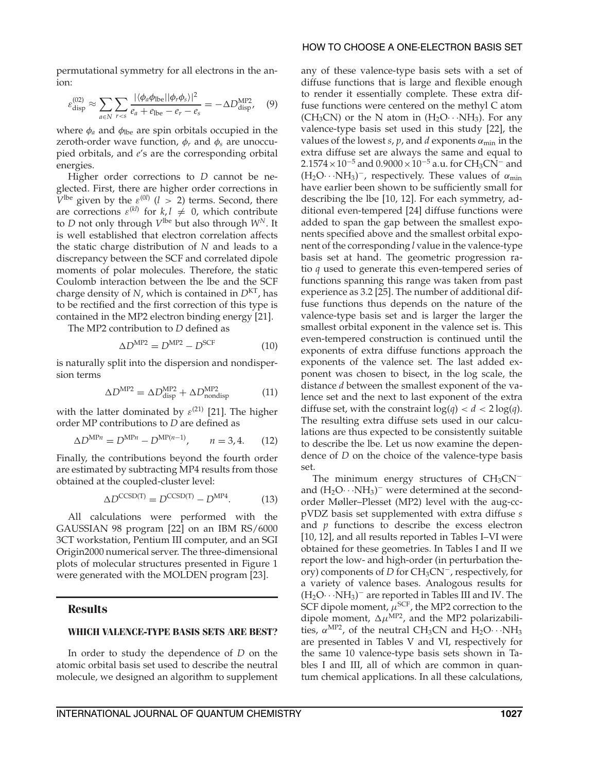permutational symmetry for all electrons in the anion:

$$
\varepsilon_{\text{disp}}^{(02)} \approx \sum_{a \in N} \sum_{r < s} \frac{|\langle \phi_a \phi_{\text{lbe}} | |\phi_r \phi_s \rangle|^2}{e_a + e_{\text{lbe}} - e_r - e_s} = -\Delta D_{\text{disp}}^{\text{MP2}},\tag{9}
$$

where  $\phi_a$  and  $\phi_{\text{lbe}}$  are spin orbitals occupied in the zeroth-order wave function,  $\phi_r$  and  $\phi_s$  are unoccupied orbitals, and *e*'s are the corresponding orbital energies.

Higher order corrections to *D* cannot be neglected. First, there are higher order corrections in *V*<sup>lbe</sup> given by the  $\varepsilon$ <sup>(0*l*)</sup> (*l* > 2) terms. Second, there are corrections  $\varepsilon^{(kl)}$  for  $k, l \neq 0$ , which contribute to *D* not only through  $V^{\text{lbe}}$  but also through  $W^N$ . It is well established that electron correlation affects the static charge distribution of *N* and leads to a discrepancy between the SCF and correlated dipole moments of polar molecules. Therefore, the static Coulomb interaction between the lbe and the SCF charge density of *N*, which is contained in *D*KT, has to be rectified and the first correction of this type is contained in the MP2 electron binding energy [21].

The MP2 contribution to *D* defined as

$$
\Delta D^{\rm MP2} = D^{\rm MP2} - D^{\rm SCF} \tag{10}
$$

is naturally split into the dispersion and nondispersion terms

$$
\Delta D^{\text{MP2}} = \Delta D_{\text{disp}}^{\text{MP2}} + \Delta D_{\text{nondisp}}^{\text{MP2}}
$$
 (11)

with the latter dominated by  $\varepsilon^{(21)}$  [21]. The higher order MP contributions to *D* are defined as

$$
\Delta D^{\text{MP}n} = D^{\text{MP}n} - D^{\text{MP}(n-1)}, \qquad n = 3, 4. \tag{12}
$$

Finally, the contributions beyond the fourth order are estimated by subtracting MP4 results from those obtained at the coupled-cluster level:

$$
\Delta D^{\text{CCSD(T)}} = D^{\text{CCSD(T)}} - D^{\text{MP4}}.\tag{13}
$$

All calculations were performed with the GAUSSIAN 98 program [22] on an IBM RS/6000 3CT workstation, Pentium III computer, and an SGI Origin2000 numerical server. The three-dimensional plots of molecular structures presented in Figure 1 were generated with the MOLDEN program [23].

#### **Results**

#### **WHICH VALENCE-TYPE BASIS SETS ARE BEST?**

In order to study the dependence of *D* on the atomic orbital basis set used to describe the neutral molecule, we designed an algorithm to supplement any of these valence-type basis sets with a set of diffuse functions that is large and flexible enough to render it essentially complete. These extra diffuse functions were centered on the methyl C atom (CH<sub>3</sub>CN) or the N atom in  $(H_2O\cdots NH_3)$ . For any valence-type basis set used in this study [22], the values of the lowest *s*, *p*, and *d* exponents  $\alpha_{\min}$  in the extra diffuse set are always the same and equal to  $2.1574 \times 10^{-5}$  and  $0.9000 \times 10^{-5}$  a.u. for CH<sub>3</sub>CN<sup>-</sup> and  $(H_2O\cdots NH_3)^-$ , respectively. These values of  $\alpha_{\min}$ have earlier been shown to be sufficiently small for describing the lbe [10, 12]. For each symmetry, additional even-tempered [24] diffuse functions were added to span the gap between the smallest exponents specified above and the smallest orbital exponent of the corresponding *l* value in the valence-type basis set at hand. The geometric progression ratio *q* used to generate this even-tempered series of functions spanning this range was taken from past experience as 3.2 [25]. The number of additional diffuse functions thus depends on the nature of the valence-type basis set and is larger the larger the smallest orbital exponent in the valence set is. This even-tempered construction is continued until the exponents of extra diffuse functions approach the exponents of the valence set. The last added exponent was chosen to bisect, in the log scale, the distance *d* between the smallest exponent of the valence set and the next to last exponent of the extra diffuse set, with the constraint  $log(q) < d < 2 log(q)$ . The resulting extra diffuse sets used in our calculations are thus expected to be consistently suitable to describe the lbe. Let us now examine the dependence of *D* on the choice of the valence-type basis set.

The minimum energy structures of CH<sub>3</sub>CN<sup>−</sup> and  $(H_2O \cdots NH_3)$ <sup>-</sup> were determined at the secondorder Møller–Plesset (MP2) level with the aug-ccpVDZ basis set supplemented with extra diffuse *s* and  $p$  functions to describe the excess electron [10, 12], and all results reported in Tables I–VI were obtained for these geometries. In Tables I and II we report the low- and high-order (in perturbation theory) components of *D* for CH3CN−, respectively, for a variety of valence bases. Analogous results for  $(H_2O \cdots NH_3)$ <sup>-</sup> are reported in Tables III and IV. The SCF dipole moment,  $\mu^{\text{SCF}}$ , the MP2 correction to the dipole moment,  $\Delta \mu^{MP2}$ , and the MP2 polarizabilities,  $\alpha^{\text{MP2}}$ , of the neutral CH<sub>3</sub>CN and H<sub>2</sub>O···NH<sub>3</sub> are presented in Tables V and VI, respectively for the same 10 valence-type basis sets shown in Tables I and III, all of which are common in quantum chemical applications. In all these calculations,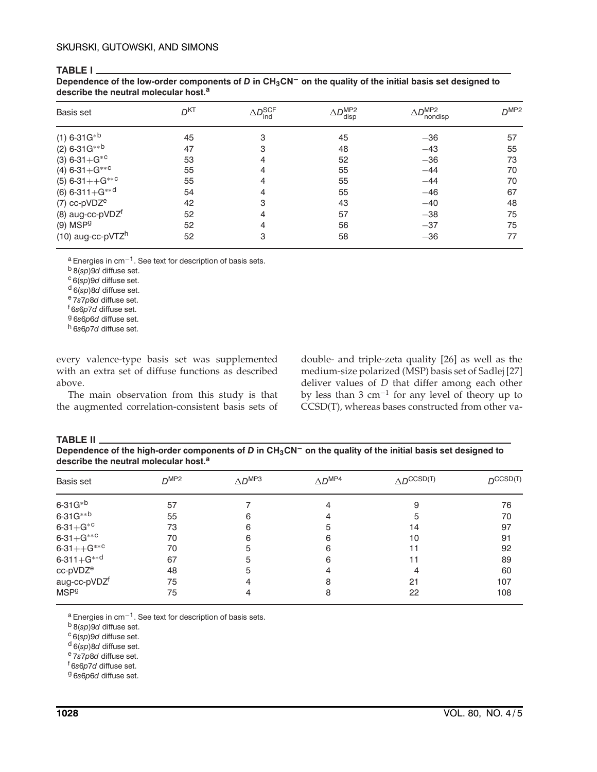## **TABLE I**

| Dependence of the low-order components of D in $CH_3CN^-$ on the quality of the initial basis set designed to |  |
|---------------------------------------------------------------------------------------------------------------|--|
| describe the neutral molecular host. <sup>a</sup>                                                             |  |

| Basis set                          | D <sup>KT</sup> | $\Delta D_{\text{ind}}^{\text{SCF}}$ | $\Delta D_{\rm disp}^{\rm MP2}$ | $\Delta D^{\text{MP2}}$<br>nondisp | D <sup>MP2</sup> |
|------------------------------------|-----------------|--------------------------------------|---------------------------------|------------------------------------|------------------|
| $(1) 6 - 31G2$                     | 45              | 3                                    | 45                              | $-36$                              | 57               |
| $(2)$ 6-31 $G^{**b}$               | 47              | 3                                    | 48                              | $-43$                              | 55               |
| $(3)$ 6-31+ $G^*$ <sup>c</sup>     | 53              | 4                                    | 52                              | $-36$                              | 73               |
| (4) $6 - 31 + G^{**}$ <sup>c</sup> | 55              | 4                                    | 55                              | $-44$                              | 70               |
| $(5)$ 6-31++G** <sup>c</sup>       | 55              | 4                                    | 55                              | $-44$                              | 70               |
| $(6)$ 6-311+ $G^{**d}$             | 54              | 4                                    | 55                              | $-46$                              | 67               |
| $(7)$ cc-pVDZ <sup>e</sup>         | 42              | 3                                    | 43                              | $-40$                              | 48               |
| $(8)$ aug-cc-pVDZ <sup>f</sup>     | 52              | 4                                    | 57                              | $-38$                              | 75               |
| (9) MSP <sup>g</sup>               | 52              | 4                                    | 56                              | $-37$                              | 75               |
| $(10)$ aug-cc-pVTZ <sup>h</sup>    | 52              | 3                                    | 58                              | $-36$                              | 77               |

<sup>a</sup> Energies in cm−1. See text for description of basis sets.

<sup>b</sup> 8(*sp*)9*d* diffuse set.

<sup>c</sup> 6(*sp*)9*d* diffuse set.

<sup>d</sup> 6(*sp*)8*d* diffuse set.

<sup>e</sup> 7*s*7*p*8*d* diffuse set.

<sup>f</sup> 6*s*6*p*7*d* diffuse set.

<sup>g</sup> 6*s*6*p*6*d* diffuse set.

<sup>h</sup> 6*s*6*p*7*d* diffuse set.

every valence-type basis set was supplemented with an extra set of diffuse functions as described above.

The main observation from this study is that the augmented correlation-consistent basis sets of

double- and triple-zeta quality [26] as well as the medium-size polarized (MSP) basis set of Sadlej [27] deliver values of *D* that differ among each other by less than 3 cm−<sup>1</sup> for any level of theory up to CCSD(T), whereas bases constructed from other va-

**TABLE II**

**Dependence of the high-order components of** *D* **in CH3CN<sup>−</sup> on the quality of the initial basis set designed to describe the neutral molecular host.a**

| Basis set            | $D^{MP2}$ | $\triangle D^{MP3}$ | $\Delta D^{MP4}$ | $\triangle D^{CCSD(T)}$ | DCCSD(T) |
|----------------------|-----------|---------------------|------------------|-------------------------|----------|
| $6 - 31G b$          | 57        |                     |                  | 9                       | 76       |
| $6 - 31G^{**b}$      | 55        | 6                   |                  | 5                       | 70       |
| $6 - 31 + G^{*c}$    | 73        | 6                   |                  | 14                      | 97       |
| $6 - 31 + G^{***}$   | 70        |                     |                  | 10                      | 91       |
| $6 - 31 + + G^{***}$ | 70        | 5                   | 6                | 11                      | 92       |
| $6 - 311 + G^{**d}$  | 67        | 5                   | 6                | 11                      | 89       |
| cc-pVDZ <sup>e</sup> | 48        | 5                   |                  |                         | 60       |
| aug-cc-pVDZf         | 75        |                     |                  | 21                      | 107      |
| MSP <sup>g</sup>     | 75        |                     | 8                | 22                      | 108      |

<sup>a</sup> Energies in cm<sup>−</sup>1. See text for description of basis sets.

<sup>b</sup> 8(*sp*)9*d* diffuse set.

<sup>c</sup> 6(*sp*)9*d* diffuse set.

<sup>d</sup> 6(*sp*)8*d* diffuse set.

<sup>e</sup> 7*s*7*p*8*d* diffuse set.

<sup>f</sup> 6*s*6*p*7*d* diffuse set.

<sup>g</sup> 6*s*6*p*6*d* diffuse set.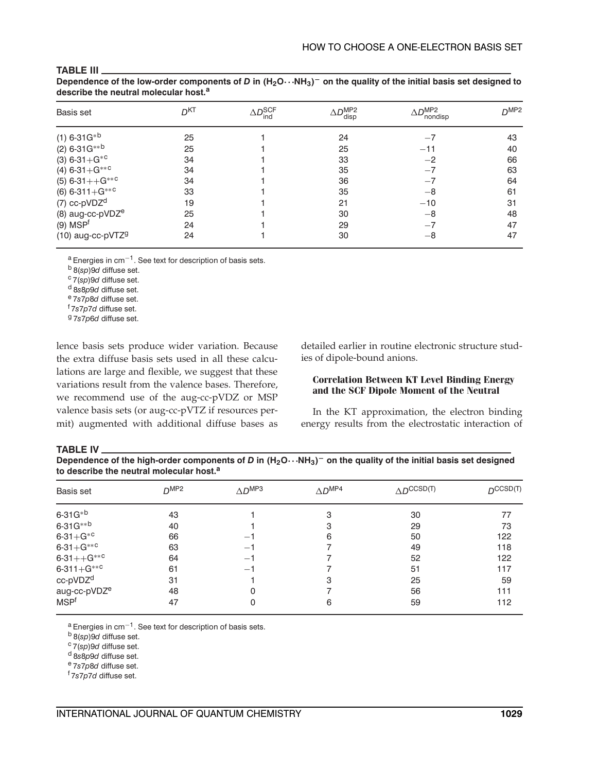#### **TABLE III**

**Dependence of the low-order components of** *D* **in (H2O···NH3)<sup>−</sup> on the quality of the initial basis set designed to describe the neutral molecular host.a**

| Basis set                          | DKT | $\Delta D_{\text{ind}}^{\text{SCF}}$ | $\Delta D_{\rm disp}^{\rm MP2}$ | $\triangle D^{MP2}$<br>nondisp | D <sup>MP2</sup> |
|------------------------------------|-----|--------------------------------------|---------------------------------|--------------------------------|------------------|
| $(1) 6 - 31G2$                     | 25  |                                      | 24                              | $-7$                           | 43               |
| $(2)$ 6-31 $G^{**b}$               | 25  |                                      | 25                              | $-11$                          | 40               |
| (3) $6 - 31 + G^*$ <sup>c</sup>    | 34  |                                      | 33                              | $-2$                           | 66               |
| $(4)$ 6-31+ $G^{***}$ <sup>C</sup> | 34  |                                      | 35                              | $-7$                           | 63               |
| $(5)$ 6-31++ $G***$ <sup>C</sup>   | 34  |                                      | 36                              | $-7$                           | 64               |
| (6) $6 - 311 + G^{***}$            | 33  |                                      | 35                              | $-8$                           | 61               |
| $(7)$ cc-pVDZ <sup>d</sup>         | 19  |                                      | 21                              | $-10$                          | 31               |
| $(8)$ aug-cc-pVD $Z^e$             | 25  |                                      | 30                              | -8                             | 48               |
| $(9)$ MSP <sup>f</sup>             | 24  |                                      | 29                              | $-7$                           | 47               |
| (10) aug-cc-pVTZ <sup>g</sup>      | 24  |                                      | 30                              | $-8$                           | 47               |

<sup>a</sup> Energies in cm<sup>−</sup>1. See text for description of basis sets.

<sup>b</sup> 8(*sp*)9*d* diffuse set.

<sup>c</sup> 7(*sp*)9*d* diffuse set.

<sup>d</sup> 8*s*8*p*9*d* diffuse set.

<sup>e</sup> 7*s*7*p*8*d* diffuse set.

<sup>f</sup> 7*s*7*p*7*d* diffuse set.

<sup>g</sup> 7*s*7*p*6*d* diffuse set.

lence basis sets produce wider variation. Because the extra diffuse basis sets used in all these calculations are large and flexible, we suggest that these variations result from the valence bases. Therefore, we recommend use of the aug-cc-pVDZ or MSP valence basis sets (or aug-cc-pVTZ if resources permit) augmented with additional diffuse bases as detailed earlier in routine electronic structure studies of dipole-bound anions.

#### **Correlation Between KT Level Binding Energy and the SCF Dipole Moment of the Neutral**

In the KT approximation, the electron binding energy results from the electrostatic interaction of

#### **TABLE IV**

**Dependence of the high-order components of** *D* **in (H2O···NH3)<sup>−</sup> on the quality of the initial basis set designed to describe the neutral molecular host.a**

| Basis set                | D <sup>MP2</sup> | $\Delta D^{MP3}$          | $\Delta D^{MP4}$ | $\triangle D^{\text{CCSD(T)}}$ | $D^{CCSD(T)}$ |
|--------------------------|------------------|---------------------------|------------------|--------------------------------|---------------|
| $6 - 31G^*$              | 43               |                           |                  | 30                             | 77            |
| $6 - 31G^{**b}$          | 40               |                           |                  | 29                             | 73            |
| $6 - 31 + G^{*c}$        | 66               | $-$                       | 6                | 50                             | 122           |
| $6 - 31 + G^{***}$       | 63               | — 1                       |                  | 49                             | 118           |
| $6 - 31 + + G^{***}$     | 64               | $ \overline{\phantom{a}}$ |                  | 52                             | 122           |
| $6 - 311 + G^{***}$      | 61               | — 1                       |                  | 51                             | 117           |
| cc-pVDZ <sup>d</sup>     | 31               |                           |                  | 25                             | 59            |
| aug-cc-pVDZ <sup>e</sup> | 48               |                           |                  | 56                             | 111           |
| <b>MSPf</b>              | 47               |                           | 6                | 59                             | 112           |

<sup>a</sup> Energies in cm<sup>−</sup>1. See text for description of basis sets.

<sup>b</sup> 8(*sp*)9*d* diffuse set.

<sup>c</sup> 7(*sp*)9*d* diffuse set.

<sup>d</sup> 8*s*8*p*9*d* diffuse set.

<sup>e</sup> 7*s*7*p*8*d* diffuse set.

<sup>f</sup> 7*s*7*p*7*d* diffuse set.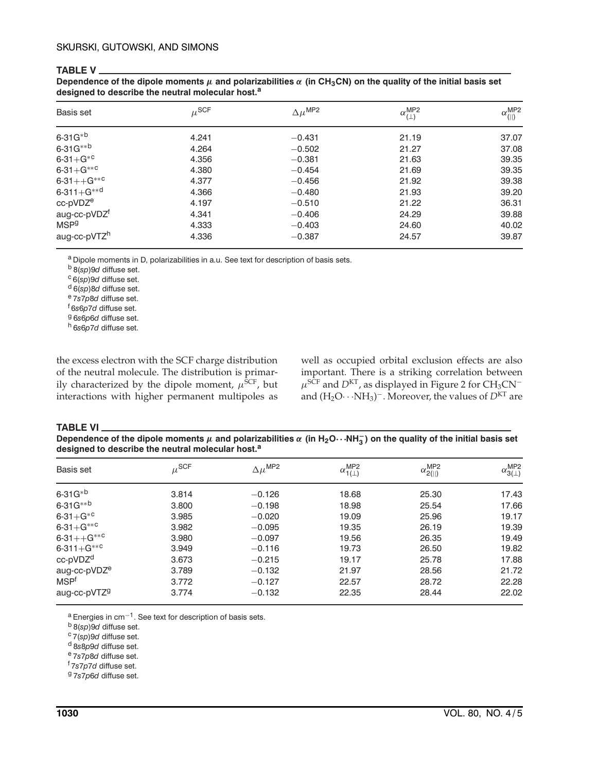## **TABLE V**

| Dependence of the dipole moments $\mu$ and polarizabilities $\alpha$ (in CH <sub>3</sub> CN) on the quality of the initial basis set |
|--------------------------------------------------------------------------------------------------------------------------------------|
| designed to describe the neutral molecular host. <sup>8</sup>                                                                        |

| Basis set                   | $\mu$ SCF | $\Delta \mu^{\rm MP2}$ | $\alpha_{(\perp)}^{\mathsf{MP2}}$ | $\alpha_{(  )}^{\mathsf{MP2}}$ |
|-----------------------------|-----------|------------------------|-----------------------------------|--------------------------------|
| $6 - 31G b$                 | 4.241     | $-0.431$               | 21.19                             | 37.07                          |
| $6 - 31G^{**b}$             | 4.264     | $-0.502$               | 21.27                             | 37.08                          |
| $6 - 31 + G^*$ <sup>c</sup> | 4.356     | $-0.381$               | 21.63                             | 39.35                          |
| $6 - 31 + G^{**C}$          | 4.380     | $-0.454$               | 21.69                             | 39.35                          |
| $6 - 31 + + G^{***}$        | 4.377     | $-0.456$               | 21.92                             | 39.38                          |
| 6-311+ $G^{**d}$            | 4.366     | $-0.480$               | 21.93                             | 39.20                          |
| cc-pVDZ <sup>e</sup>        | 4.197     | $-0.510$               | 21.22                             | 36.31                          |
| aug-cc-pVDZf                | 4.341     | $-0.406$               | 24.29                             | 39.88                          |
| MSP <sup>g</sup>            | 4.333     | $-0.403$               | 24.60                             | 40.02                          |
| aug-cc-pVTZh                | 4.336     | $-0.387$               | 24.57                             | 39.87                          |

<sup>a</sup> Dipole moments in D, polarizabilities in a.u. See text for description of basis sets.

<sup>b</sup> 8(*sp*)9*d* diffuse set.

<sup>c</sup> 6(*sp*)9*d* diffuse set.

<sup>d</sup> 6(*sp*)8*d* diffuse set.

<sup>e</sup> 7*s*7*p*8*d* diffuse set.

<sup>f</sup> 6*s*6*p*7*d* diffuse set.

<sup>g</sup> 6*s*6*p*6*d* diffuse set.

<sup>h</sup> 6*s*6*p*7*d* diffuse set.

the excess electron with the SCF charge distribution of the neutral molecule. The distribution is primarily characterized by the dipole moment,  $\mu^{\text{SCF}}$ , but interactions with higher permanent multipoles as

well as occupied orbital exclusion effects are also important. There is a striking correlation between  $\mu$ <sup>SCF</sup> and *D*<sup>KT</sup>, as displayed in Figure 2 for CH<sub>3</sub>CN<sup>-</sup> and  $(H_2O \cdot \cdot NH_3)^-$ . Moreover, the values of  $D<sup>KT</sup>$  are

**TABLE VI**

Dependence of the dipole moments  $\mu$  and polarizabilities  $\alpha$  (in H<sub>2</sub>O $\cdots$ NH<sub>3</sub>) on the quality of the initial basis set **designed to describe the neutral molecular host.a**

| Basis set                   | $\mu$ SCF | $\Delta \mu^{\text{MP2}}$ | $\alpha_{1(\perp)}^{\mathsf{MP2}}$ | $\alpha_{2(  )}^{\text{MP2}}$ | $\alpha_{3(\perp)}^{\sf MP2}$ |
|-----------------------------|-----------|---------------------------|------------------------------------|-------------------------------|-------------------------------|
| $6 - 31G b$                 | 3.814     | $-0.126$                  | 18.68                              | 25.30                         | 17.43                         |
| $6 - 31G^{**b}$             | 3.800     | $-0.198$                  | 18.98                              | 25.54                         | 17.66                         |
| $6 - 31 + G^*$ <sup>c</sup> | 3.985     | $-0.020$                  | 19.09                              | 25.96                         | 19.17                         |
| $6 - 31 + G^{***}$          | 3.982     | $-0.095$                  | 19.35                              | 26.19                         | 19.39                         |
| $6 - 31 + + G^{**C}$        | 3.980     | $-0.097$                  | 19.56                              | 26.35                         | 19.49                         |
| $6 - 311 + G^{**C}$         | 3.949     | $-0.116$                  | 19.73                              | 26.50                         | 19.82                         |
| cc-pVDZ <sup>d</sup>        | 3.673     | $-0.215$                  | 19.17                              | 25.78                         | 17.88                         |
| aug-cc-pVDZ <sup>e</sup>    | 3.789     | $-0.132$                  | 21.97                              | 28.56                         | 21.72                         |
| <b>MSP<sup>t</sup></b>      | 3.772     | $-0.127$                  | 22.57                              | 28.72                         | 22.28                         |
| aug-cc-pVTZ <sup>g</sup>    | 3.774     | $-0.132$                  | 22.35                              | 28.44                         | 22.02                         |

<sup>a</sup> Energies in cm<sup>−</sup>1. See text for description of basis sets.

<sup>b</sup> 8(*sp*)9*d* diffuse set.

<sup>c</sup> 7(*sp*)9*d* diffuse set.

<sup>d</sup> 8*s*8*p*9*d* diffuse set.

<sup>e</sup> 7*s*7*p*8*d* diffuse set.

<sup>f</sup> 7*s*7*p*7*d* diffuse set.

<sup>g</sup> 7*s*7*p*6*d* diffuse set.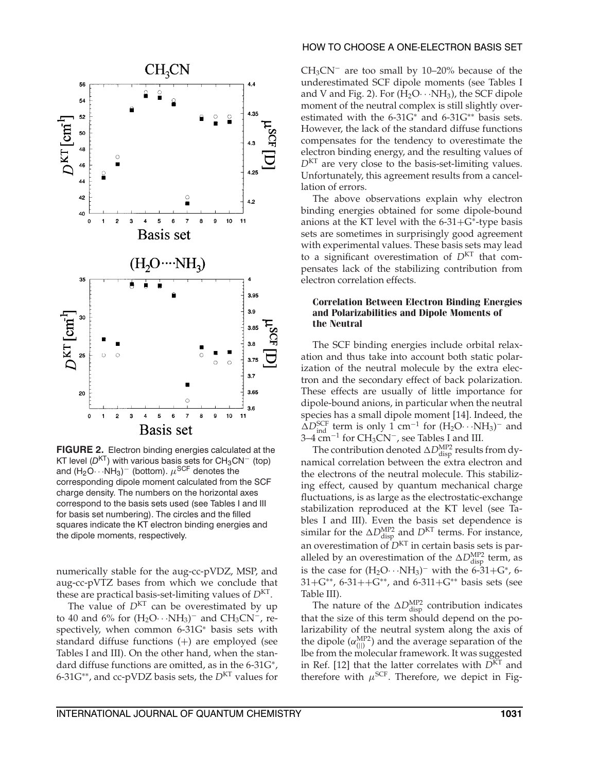

**FIGURE 2.** Electron binding energies calculated at the KT level  $(D<sup>KT</sup>)$  with various basis sets for  $CH<sub>3</sub>CN<sup>-</sup>$  (top) and  $(\mathsf{H}_2\mathsf{O}\cdots\mathsf{NH}_3)^-$  (bottom).  $\mu^\mathsf{SCF}$  denotes the corresponding dipole moment calculated from the SCF charge density. The numbers on the horizontal axes correspond to the basis sets used (see Tables I and III for basis set numbering). The circles and the filled squares indicate the KT electron binding energies and the dipole moments, respectively.

numerically stable for the aug-cc-pVDZ, MSP, and aug-cc-pVTZ bases from which we conclude that these are practical basis-set-limiting values of  $D<sup>KT</sup>$ .

The value of  $D<sup>KT</sup>$  can be overestimated by up to 40 and 6% for  $(H_2O\cdots NH_3)^-$  and  $CH_3CN^-$ , respectively, when common 6-31G<sup>∗</sup> basis sets with standard diffuse functions (+) are employed (see Tables I and III). On the other hand, when the standard diffuse functions are omitted, as in the 6-31G∗, 6-31G∗∗, and cc-pVDZ basis sets, the *D*KT values for

#### HOW TO CHOOSE A ONE-ELECTRON BASIS SET

CH3CN<sup>−</sup> are too small by 10–20% because of the underestimated SCF dipole moments (see Tables I and V and Fig. 2). For  $(H_2O\cdots NH_3)$ , the SCF dipole moment of the neutral complex is still slightly overestimated with the 6-31G<sup>∗</sup> and 6-31G∗∗ basis sets. However, the lack of the standard diffuse functions compensates for the tendency to overestimate the electron binding energy, and the resulting values of *D*KT are very close to the basis-set-limiting values. Unfortunately, this agreement results from a cancellation of errors.

The above observations explain why electron binding energies obtained for some dipole-bound anions at the KT level with the  $6-31+\mathrm{G}^*$ -type basis sets are sometimes in surprisingly good agreement with experimental values. These basis sets may lead to a significant overestimation of *D*KT that compensates lack of the stabilizing contribution from electron correlation effects.

#### **Correlation Between Electron Binding Energies and Polarizabilities and Dipole Moments of the Neutral**

The SCF binding energies include orbital relaxation and thus take into account both static polarization of the neutral molecule by the extra electron and the secondary effect of back polarization. These effects are usually of little importance for dipole-bound anions, in particular when the neutral species has a small dipole moment [14]. Indeed, the  $\Delta D_{\text{ind}}^{\text{SCF}}$  term is only 1 cm<sup>-1</sup> for  $(H_2O\cdots NH_3)$ <sup>-</sup> and  $3-4$  cm<sup>-1</sup> for CH<sub>3</sub>CN<sup>-</sup>, see Tables I and III.

The contribution denoted  $\Delta D_{\rm disp}^{\rm MP2}$  results from dynamical correlation between the extra electron and the electrons of the neutral molecule. This stabilizing effect, caused by quantum mechanical charge fluctuations, is as large as the electrostatic-exchange stabilization reproduced at the KT level (see Tables I and III). Even the basis set dependence is similar for the  $\Delta D_{\text{disp}}^{\text{MP2}}$  and  $D^{\text{KT}}$  terms. For instance, an overestimation of  $D<sup>KT</sup>$  in certain basis sets is paralleled by an overestimation of the  $\Delta D_{\rm disp}^{\rm MP2}$  term, as is the case for  $(H_2O \cdots NH_3)$ <sup>-</sup> with the 6-31+G<sup>\*</sup>, 6- $31+G^{**}$ , 6-31++ $G^{**}$ , and 6-311+ $G^{**}$  basis sets (see Table III).

The nature of the  $\Delta D_{\text{disp}}^{\text{MP2}}$  contribution indicates that the size of this term should depend on the polarizability of the neutral system along the axis of the dipole  $(\alpha_{(||)}^{\text{MP2}})$  and the average separation of the lbe from the molecular framework. It was suggested in Ref. [12] that the latter correlates with  $\overrightarrow{D^{KT}}$  and therefore with  $\mu^{\text{SCF}}$ . Therefore, we depict in Fig-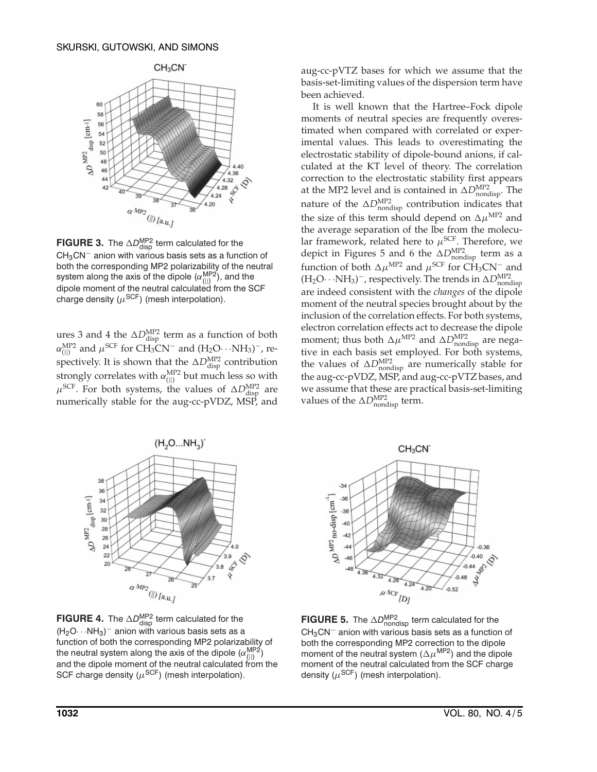

**FIGURE 3.** The  $\Delta D_{\sf disp}^{\sf MP2}$  term calculated for the CH<sub>3</sub>CN<sup>−</sup> anion with various basis sets as a function of both the corresponding MP2 polarizability of the neutral system along the axis of the dipole (α<sup>MP2</sup>), and the dipole moment of the neutral calculated from the SCF charge density  $(\mu^{\text{SCF}})$  (mesh interpolation).

ures 3 and 4 the  $\Delta D_{\rm disp}^{\rm MP2}$  term as a function of both  $\alpha_{(||)}^{\text{MP2}}$  and  $\mu^{\text{SCF}}$  for CH<sub>3</sub>CN<sup>-</sup> and  $(\text{H}_2\text{O}\cdot\cdot\cdot\text{NH}_3)^-$ , respectively. It is shown that the  $\Delta D_{\rm disp}^{\rm MP2}$  contribution strongly correlates with  $\alpha_{(||)}^{\text{MP2}}$  but much less so with  $\mu^{\text{SCF}}$ . For both systems, the values of  $\Delta D^{\text{MP2}}_{\text{disp}}$  are numerically stable for the aug-cc-pVDZ, MSP, and

aug-cc-pVTZ bases for which we assume that the basis-set-limiting values of the dispersion term have been achieved.

It is well known that the Hartree–Fock dipole moments of neutral species are frequently overestimated when compared with correlated or experimental values. This leads to overestimating the electrostatic stability of dipole-bound anions, if calculated at the KT level of theory. The correlation correction to the electrostatic stability first appears at the MP2 level and is contained in  $\Delta D_{\text{nondisp}}^{\text{MP2}}$ . The nature of the  $\Delta D_{\text{nondisp}}^{\text{MP2}}$  contribution indicates that the size of this term should depend on  $\Delta \mu^{\text{MP2}}$  and the average separation of the lbe from the molecular framework, related here to  $\mu^{\text{SCF}}$ . Therefore, we depict in Figures 5 and 6 the  $\Delta D_{\text{nondisp}}^{\text{MP2}}$  term as a function of both  $\Delta \mu^{MP2}$  and  $\mu^{SCF}$  for CH<sub>3</sub>CN<sup>-</sup> and  $(\text{H}_2\text{O}\cdots\text{NH}_3)^-$ , respectively. The trends in  $\Delta D_\text{nondisp}^\text{MP2}$ are indeed consistent with the *changes* of the dipole moment of the neutral species brought about by the inclusion of the correlation effects. For both systems, electron correlation effects act to decrease the dipole moment; thus both  $\Delta \mu^{\rm MP2}$  and  $\Delta D_{\rm nondisp}^{\rm MP2}$  are negative in each basis set employed. For both systems, the values of  $\Delta D_{\text{nondisp}}^{\text{MP2}}$  are numerically stable for the aug-cc-pVDZ, MSP, and aug-cc-pVTZ bases, and we assume that these are practical basis-set-limiting values of the  $\Delta D_{\text{nondisp}}^{\text{MP2}}$  term.



**FIGURE 4.** The  $\Delta D_{\sf disp}^{\sf MP2}$  term calculated for the  $(H<sub>2</sub>O...NH<sub>3</sub>)$ <sup>-</sup> anion with various basis sets as a function of both the corresponding MP2 polarizability of the neutral system along the axis of the dipole  $(\alpha_{(||)}^{\text{MP2}})$ and the dipole moment of the neutral calculated from the SCF charge density (*µ*SCF) (mesh interpolation).



**FIGURE 5.** The  $\Delta D_{\text{nondisp}}^{\text{MP2}}$  term calculated for the CH<sub>3</sub>CN<sup>−</sup> anion with various basis sets as a function of both the corresponding MP2 correction to the dipole moment of the neutral system  $(\Delta \mu^{MP2})$  and the dipole moment of the neutral calculated from the SCF charge density  $(\mu^{\text{SCF}})$  (mesh interpolation).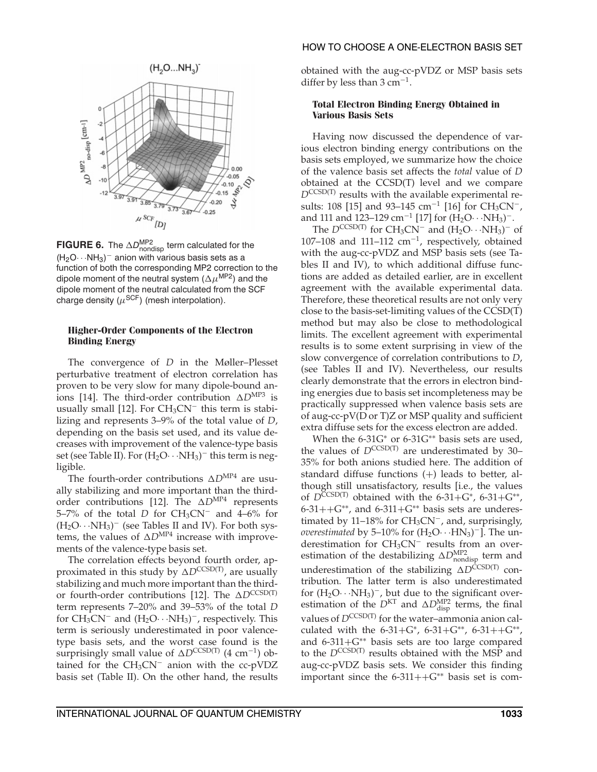

**FIGURE 6.** The  $\Delta D_{\text{nondisp}}^{\textsf{MP2}}$  term calculated for the  $(H<sub>2</sub>O...NH<sub>3</sub>)$ <sup>-</sup> anion with various basis sets as a function of both the corresponding MP2 correction to the dipole moment of the neutral system  $(\Delta \mu^{MP2})$  and the dipole moment of the neutral calculated from the SCF charge density  $(\mu^{\text{SCF}})$  (mesh interpolation).

#### **Higher-Order Components of the Electron Binding Energy**

The convergence of *D* in the Møller–Plesset perturbative treatment of electron correlation has proven to be very slow for many dipole-bound anions [14]. The third-order contribution  $\Delta D^{MP3}$  is usually small [12]. For  $CH<sub>3</sub>CN<sup>-</sup>$  this term is stabilizing and represents 3–9% of the total value of *D*, depending on the basis set used, and its value decreases with improvement of the valence-type basis set (see Table II). For  $(H_2O \cdots NH_3)^-$  this term is negligible.

The fourth-order contributions  $\Delta D^{MP4}$  are usually stabilizing and more important than the thirdorder contributions [12]. The  $\Delta D^{MP4}$  represents 5–7% of the total *D* for CH3CN<sup>−</sup> and 4–6% for  $(H_2O\cdots NH_3)$ <sup>-</sup> (see Tables II and IV). For both systems, the values of  $\Delta D^{MP4}$  increase with improvements of the valence-type basis set.

The correlation effects beyond fourth order, approximated in this study by  $\Delta D^{\text{CCSD(T)}}$ , are usually stabilizing and much more important than the thirdor fourth-order contributions [12]. The  $\Delta D^{\text{CCSD(T)}}$ term represents 7–20% and 39–53% of the total *D* for  $CH_3CN^-$  and  $(H_2O\cdots NH_3)^-$ , respectively. This term is seriously underestimated in poor valencetype basis sets, and the worst case found is the surprisingly small value of  $\Delta D^{\text{CCSD(T)}}$  (4 cm<sup>-1</sup>) obtained for the CH3CN<sup>−</sup> anion with the cc-pVDZ basis set (Table II). On the other hand, the results

#### HOW TO CHOOSE A ONE-ELECTRON BASIS SET

obtained with the aug-cc-pVDZ or MSP basis sets differ by less than  $3 \text{ cm}^{-1}$ .

#### **Total Electron Binding Energy Obtained in Various Basis Sets**

Having now discussed the dependence of various electron binding energy contributions on the basis sets employed, we summarize how the choice of the valence basis set affects the *total* value of *D* obtained at the CCSD(T) level and we compare  $D^{CCSD(T)}$  results with the available experimental results: 108 [15] and 93–145 cm<sup>-1</sup> [16] for CH<sub>3</sub>CN<sup>-</sup>, and 111 and 123–129 cm<sup>-1</sup> [17] for  $(H_2O \cdots NH_3)$ <sup>-</sup>.

The *D*<sup>CCSD(T)</sup> for CH<sub>3</sub>CN<sup>-</sup> and  $(H_2O \cdots NH_3)$ <sup>-</sup> of 107–108 and 111–112 cm−1, respectively, obtained with the aug-cc-pVDZ and MSP basis sets (see Tables II and IV), to which additional diffuse functions are added as detailed earlier, are in excellent agreement with the available experimental data. Therefore, these theoretical results are not only very close to the basis-set-limiting values of the CCSD(T) method but may also be close to methodological limits. The excellent agreement with experimental results is to some extent surprising in view of the slow convergence of correlation contributions to *D*, (see Tables II and IV). Nevertheless, our results clearly demonstrate that the errors in electron binding energies due to basis set incompleteness may be practically suppressed when valence basis sets are of aug-cc-pV(D or T)Z or MSP quality and sufficient extra diffuse sets for the excess electron are added.

When the 6-31G<sup>\*</sup> or 6-31G<sup>\*\*</sup> basis sets are used, the values of  $D^{\text{CCSD(T)}}$  are underestimated by 30– 35% for both anions studied here. The addition of standard diffuse functions (+) leads to better, although still unsatisfactory, results [i.e., the values of  $D^{\text{CCSD(T)}}$  obtained with the 6-31+G<sup>\*</sup>, 6-31+G<sup>\*\*</sup>, 6-31++ $G^{**}$ , and 6-311+ $G^{**}$  basis sets are underestimated by 11–18% for  $CH<sub>3</sub>CN<sup>-</sup>$ , and, surprisingly, *overestimated* by 5–10% for  $(\text{H}_2\text{O}\cdots\text{HN}_3)^-$ ]. The underestimation for CH<sub>3</sub>CN<sup>−</sup> results from an overestimation of the destabilizing  $\Delta D_{\text{nondisp}}^{\text{MP2}}$  term and underestimation of the stabilizing  $\Delta D^{\text{CCSD(T)}}$  contribution. The latter term is also underestimated for  $(H_2O \cdots NH_3)^-$ , but due to the significant overestimation of the  $D<sup>KT</sup>$  and  $\Delta D<sup>MP2</sup>$  terms, the final values of  $D^{CCSD(T)}$  for the water-ammonia anion calculated with the  $6-31+G^*$ ,  $6-31+G^{**}$ ,  $6-31++G^{**}$ , and 6-311+G∗∗ basis sets are too large compared to the *D*CCSD<sup>(T)</sup> results obtained with the MSP and aug-cc-pVDZ basis sets. We consider this finding important since the  $6-311++G^{**}$  basis set is com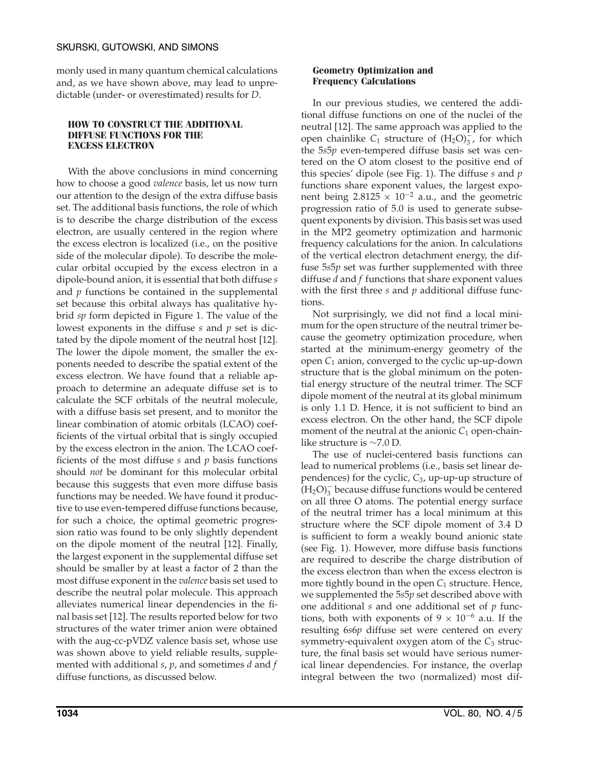monly used in many quantum chemical calculations and, as we have shown above, may lead to unpredictable (under- or overestimated) results for *D*.

#### **HOW TO CONSTRUCT THE ADDITIONAL DIFFUSE FUNCTIONS FOR THE EXCESS ELECTRON**

With the above conclusions in mind concerning how to choose a good *valence* basis, let us now turn our attention to the design of the extra diffuse basis set. The additional basis functions, the role of which is to describe the charge distribution of the excess electron, are usually centered in the region where the excess electron is localized (i.e., on the positive side of the molecular dipole). To describe the molecular orbital occupied by the excess electron in a dipole-bound anion, it is essential that both diffuse *s* and *p* functions be contained in the supplemental set because this orbital always has qualitative hybrid *sp* form depicted in Figure 1. The value of the lowest exponents in the diffuse *s* and *p* set is dictated by the dipole moment of the neutral host [12]. The lower the dipole moment, the smaller the exponents needed to describe the spatial extent of the excess electron. We have found that a reliable approach to determine an adequate diffuse set is to calculate the SCF orbitals of the neutral molecule, with a diffuse basis set present, and to monitor the linear combination of atomic orbitals (LCAO) coefficients of the virtual orbital that is singly occupied by the excess electron in the anion. The LCAO coefficients of the most diffuse *s* and *p* basis functions should *not* be dominant for this molecular orbital because this suggests that even more diffuse basis functions may be needed. We have found it productive to use even-tempered diffuse functions because, for such a choice, the optimal geometric progression ratio was found to be only slightly dependent on the dipole moment of the neutral [12]. Finally, the largest exponent in the supplemental diffuse set should be smaller by at least a factor of 2 than the most diffuse exponent in the *valence* basis set used to describe the neutral polar molecule. This approach alleviates numerical linear dependencies in the final basis set [12]. The results reported below for two structures of the water trimer anion were obtained with the aug-cc-pVDZ valence basis set, whose use was shown above to yield reliable results, supplemented with additional *s*, *p*, and sometimes *d* and *f* diffuse functions, as discussed below.

## **Geometry Optimization and Frequency Calculations**

In our previous studies, we centered the additional diffuse functions on one of the nuclei of the neutral [12]. The same approach was applied to the open chainlike  $C_1$  structure of  $(H_2O)_3^-$ , for which the 5*s*5*p* even-tempered diffuse basis set was centered on the O atom closest to the positive end of this species' dipole (see Fig. 1). The diffuse *s* and *p* functions share exponent values, the largest exponent being  $2.8125 \times 10^{-2}$  a.u., and the geometric progression ratio of 5.0 is used to generate subsequent exponents by division. This basis set was used in the MP2 geometry optimization and harmonic frequency calculations for the anion. In calculations of the vertical electron detachment energy, the diffuse 5*s*5*p* set was further supplemented with three diffuse *d* and *f* functions that share exponent values with the first three *s* and *p* additional diffuse functions.

Not surprisingly, we did not find a local minimum for the open structure of the neutral trimer because the geometry optimization procedure, when started at the minimum-energy geometry of the open *C*<sup>1</sup> anion, converged to the cyclic up-up-down structure that is the global minimum on the potential energy structure of the neutral trimer. The SCF dipole moment of the neutral at its global minimum is only 1.1 D. Hence, it is not sufficient to bind an excess electron. On the other hand, the SCF dipole moment of the neutral at the anionic  $C_1$  open-chainlike structure is ∼7.0 D.

The use of nuclei-centered basis functions can lead to numerical problems (i.e., basis set linear dependences) for the cyclic, *C*3, up-up-up structure of  $(H_2O)_3^-$  because diffuse functions would be centered on all three O atoms. The potential energy surface of the neutral trimer has a local minimum at this structure where the SCF dipole moment of 3.4 D is sufficient to form a weakly bound anionic state (see Fig. 1). However, more diffuse basis functions are required to describe the charge distribution of the excess electron than when the excess electron is more tightly bound in the open  $C_1$  structure. Hence, we supplemented the 5*s*5*p* set described above with one additional *s* and one additional set of *p* functions, both with exponents of  $9 \times 10^{-6}$  a.u. If the resulting 6*s*6*p* diffuse set were centered on every symmetry-equivalent oxygen atom of the C<sub>3</sub> structure, the final basis set would have serious numerical linear dependencies. For instance, the overlap integral between the two (normalized) most dif-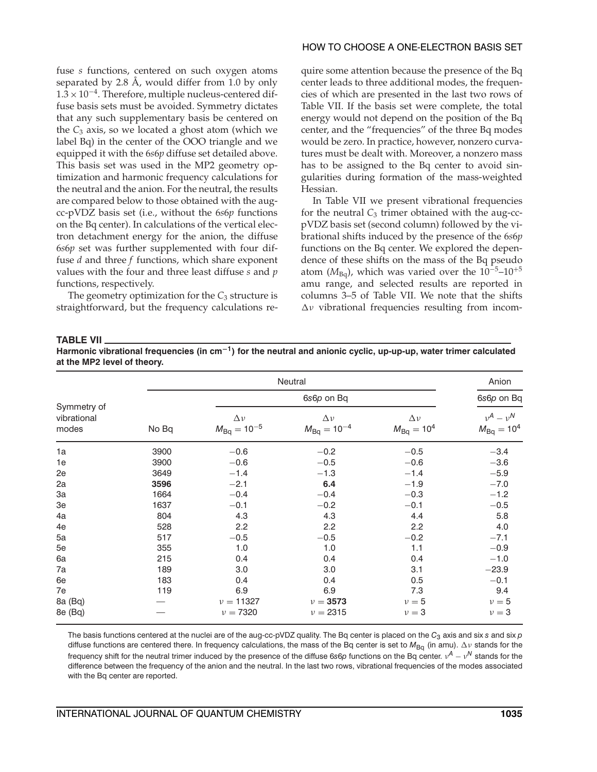#### HOW TO CHOOSE A ONE-ELECTRON BASIS SET

fuse *s* functions, centered on such oxygen atoms separated by 2.8 Å, would differ from 1.0 by only  $1.3 \times 10^{-4}$ . Therefore, multiple nucleus-centered diffuse basis sets must be avoided. Symmetry dictates that any such supplementary basis be centered on the *C*<sup>3</sup> axis, so we located a ghost atom (which we label Bq) in the center of the OOO triangle and we equipped it with the 6*s*6*p* diffuse set detailed above. This basis set was used in the MP2 geometry optimization and harmonic frequency calculations for the neutral and the anion. For the neutral, the results are compared below to those obtained with the augcc-pVDZ basis set (i.e., without the 6*s*6*p* functions on the Bq center). In calculations of the vertical electron detachment energy for the anion, the diffuse 6*s*6*p* set was further supplemented with four diffuse *d* and three *f* functions, which share exponent values with the four and three least diffuse *s* and *p* functions, respectively.

The geometry optimization for the  $C_3$  structure is straightforward, but the frequency calculations require some attention because the presence of the Bq center leads to three additional modes, the frequencies of which are presented in the last two rows of Table VII. If the basis set were complete, the total energy would not depend on the position of the Bq center, and the "frequencies" of the three Bq modes would be zero. In practice, however, nonzero curvatures must be dealt with. Moreover, a nonzero mass has to be assigned to the Bq center to avoid singularities during formation of the mass-weighted Hessian.

In Table VII we present vibrational frequencies for the neutral  $C_3$  trimer obtained with the aug-ccpVDZ basis set (second column) followed by the vibrational shifts induced by the presence of the 6*s*6*p* functions on the Bq center. We explored the dependence of these shifts on the mass of the Bq pseudo atom ( $M_{\text{Bq}}$ ), which was varied over the 10<sup>-5</sup>–10<sup>+5</sup> amu range, and selected results are reported in columns 3–5 of Table VII. We note that the shifts *1ν* vibrational frequencies resulting from incom-

#### **TABLE VII**

**Harmonic vibrational frequencies (in cm−1) for the neutral and anionic cyclic, up-up-up, water trimer calculated at the MP2 level of theory.**

|                                     |       | Neutral                                |                                        |                                     |                                    |  |
|-------------------------------------|-------|----------------------------------------|----------------------------------------|-------------------------------------|------------------------------------|--|
|                                     |       | 6s6p on Bq                             |                                        |                                     |                                    |  |
| Symmetry of<br>vibrational<br>modes | No Bq | $\Delta \nu$<br>$M_{\rm Bq} = 10^{-5}$ | $\Delta \nu$<br>$M_{\rm Bq} = 10^{-4}$ | $\Delta \nu$<br>$M_{\rm Bq} = 10^4$ | $v^A - v^N$<br>$M_{\rm Bq} = 10^4$ |  |
| 1a                                  | 3900  | $-0.6$                                 | $-0.2$                                 | $-0.5$                              | $-3.4$                             |  |
| 1e                                  | 3900  | $-0.6$                                 | $-0.5$                                 | $-0.6$                              | $-3.6$                             |  |
| 2e                                  | 3649  | $-1.4$                                 | $-1.3$                                 | $-1.4$                              | $-5.9$                             |  |
| 2a                                  | 3596  | $-2.1$                                 | 6.4                                    | $-1.9$                              | $-7.0$                             |  |
| 3a                                  | 1664  | $-0.4$                                 | $-0.4$                                 | $-0.3$                              | $-1.2$                             |  |
| 3e                                  | 1637  | $-0.1$                                 | $-0.2$                                 | $-0.1$                              | $-0.5$                             |  |
| 4a                                  | 804   | 4.3                                    | 4.3                                    | 4.4                                 | 5.8                                |  |
| 4e                                  | 528   | 2.2                                    | 2.2                                    | 2.2                                 | 4.0                                |  |
| 5a                                  | 517   | $-0.5$                                 | $-0.5$                                 | $-0.2$                              | $-7.1$                             |  |
| 5e                                  | 355   | 1.0                                    | 1.0                                    | 1.1                                 | $-0.9$                             |  |
| 6a                                  | 215   | 0.4                                    | 0.4                                    | 0.4                                 | $-1.0$                             |  |
| 7a                                  | 189   | 3.0                                    | 3.0                                    | 3.1                                 | $-23.9$                            |  |
| 6e                                  | 183   | 0.4                                    | 0.4                                    | 0.5                                 | $-0.1$                             |  |
| 7e                                  | 119   | 6.9                                    | 6.9                                    | 7.3                                 | 9.4                                |  |
| 8a (Bq)                             |       | $\nu = 11327$                          | $\nu = 3573$                           | $\nu = 5$                           | $\nu = 5$                          |  |
| 8e (Bq)                             |       | $v = 7320$                             | $\nu = 2315$                           | $\nu = 3$                           | $\nu = 3$                          |  |

The basis functions centered at the nuclei are of the aug-cc-pVDZ quality. The Bq center is placed on the *C*3 axis and six *s* and six *p* diffuse functions are centered there. In frequency calculations, the mass of the Bq center is set to *M*Bq (in amu). *1ν* stands for the frequency shift for the neutral trimer induced by the presence of the diffuse 6*s*6*<sup>p</sup>* functions on the Bq center. *ν<sup>A</sup>* <sup>−</sup> *ν<sup>N</sup>* stands for the difference between the frequency of the anion and the neutral. In the last two rows, vibrational frequencies of the modes associated with the Bq center are reported.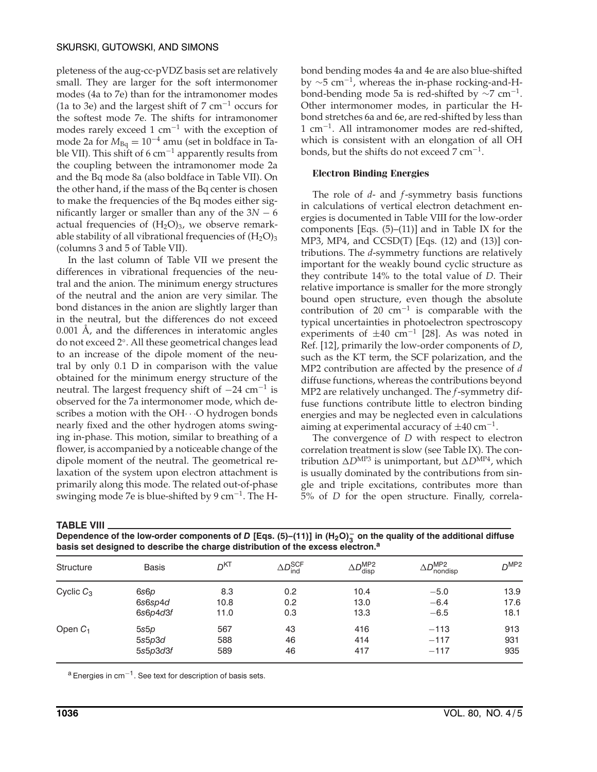pleteness of the aug-cc-pVDZ basis set are relatively small. They are larger for the soft intermonomer modes (4a to 7e) than for the intramonomer modes (1a to 3e) and the largest shift of  $7 \text{ cm}^{-1}$  occurs for the softest mode 7e. The shifts for intramonomer modes rarely exceed  $1\ \mathrm{cm}^{-1}$  with the exception of mode 2a for *M*Bq = 10−<sup>4</sup> amu (set in boldface in Table VII). This shift of 6  $cm^{-1}$  apparently results from the coupling between the intramonomer mode 2a and the Bq mode 8a (also boldface in Table VII). On the other hand, if the mass of the Bq center is chosen to make the frequencies of the Bq modes either significantly larger or smaller than any of the  $3N - 6$ actual frequencies of  $(H_2O)_3$ , we observe remarkable stability of all vibrational frequencies of  $(H_2O)_3$ (columns 3 and 5 of Table VII).

In the last column of Table VII we present the differences in vibrational frequencies of the neutral and the anion. The minimum energy structures of the neutral and the anion are very similar. The bond distances in the anion are slightly larger than in the neutral, but the differences do not exceed 0.001 Å, and the differences in interatomic angles do not exceed 2◦. All these geometrical changes lead to an increase of the dipole moment of the neutral by only 0.1 D in comparison with the value obtained for the minimum energy structure of the neutral. The largest frequency shift of  $-24$  cm<sup>-1</sup> is observed for the 7a intermonomer mode, which describes a motion with the  $OH \cdots$ O hydrogen bonds nearly fixed and the other hydrogen atoms swinging in-phase. This motion, similar to breathing of a flower, is accompanied by a noticeable change of the dipole moment of the neutral. The geometrical relaxation of the system upon electron attachment is primarily along this mode. The related out-of-phase swinging mode 7e is blue-shifted by 9 cm<sup>-1</sup>. The H- bond bending modes 4a and 4e are also blue-shifted by  $\sim$ 5 cm<sup>-1</sup>, whereas the in-phase rocking-and-Hbond-bending mode 5a is red-shifted by  $\sim$ 7 cm<sup>-1</sup>. Other intermonomer modes, in particular the Hbond stretches 6a and 6e, are red-shifted by less than 1 cm−1. All intramonomer modes are red-shifted, which is consistent with an elongation of all OH bonds, but the shifts do not exceed  $7 \text{ cm}^{-1}$ .

#### **Electron Binding Energies**

The role of *d*- and *f*-symmetry basis functions in calculations of vertical electron detachment energies is documented in Table VIII for the low-order components [Eqs.  $(5)-(11)$ ] and in Table IX for the  $MP3$ , MP4, and  $CCSD(T)$  [Eqs. (12) and (13)] contributions. The *d*-symmetry functions are relatively important for the weakly bound cyclic structure as they contribute 14% to the total value of *D*. Their relative importance is smaller for the more strongly bound open structure, even though the absolute contribution of 20  $cm^{-1}$  is comparable with the typical uncertainties in photoelectron spectroscopy experiments of  $\pm 40$  cm<sup>-1</sup> [28]. As was noted in Ref. [12], primarily the low-order components of *D*, such as the KT term, the SCF polarization, and the MP2 contribution are affected by the presence of *d* diffuse functions, whereas the contributions beyond MP2 are relatively unchanged. The *f*-symmetry diffuse functions contribute little to electron binding energies and may be neglected even in calculations aiming at experimental accuracy of  $\pm 40$  cm<sup>-1</sup>.

The convergence of *D* with respect to electron correlation treatment is slow (see Table IX). The contribution  $\Delta D^{MP3}$  is unimportant, but  $\Delta D^{MP4}$ , which is usually dominated by the contributions from single and triple excitations, contributes more than 5% of *D* for the open structure. Finally, correla-

**TABLE VIII**

| Dependence of the low-order components of D [Eqs. (5)–(11)] in (H <sub>2</sub> O) <sub>3</sub> on the quality of the additional diffuse |
|-----------------------------------------------------------------------------------------------------------------------------------------|
| basis set designed to describe the charge distribution of the excess electron. <sup>8</sup>                                             |

| Structure    | <b>Basis</b> | $D^{\textsf{KT}}$ | $\Delta D_{\text{ind}}^{\text{SCF}}$ | $\Delta D_{\rm disp}^{\rm MP2}$ | $\triangle D^{MP2}$<br>nondisp | D <sub>MP2</sub> |
|--------------|--------------|-------------------|--------------------------------------|---------------------------------|--------------------------------|------------------|
| Cyclic $C_3$ | 6s6p         | 8.3               | 0.2 <sub>0</sub>                     | 10.4                            | $-5.0$                         | 13.9             |
|              | 6s6sp4d      | 10.8              | 0.2                                  | 13.0                            | $-6.4$                         | 17.6             |
|              | 6s6p4d3f     | 11.0              | 0.3                                  | 13.3                            | $-6.5$                         | 18.1             |
| Open $C_1$   | 5s5p         | 567               | 43                                   | 416                             | $-113$                         | 913              |
|              | 5s5p3d       | 588               | 46                                   | 414                             | $-117$                         | 931              |
|              | 5s5p3d3f     | 589               | 46                                   | 417                             | $-117$                         | 935              |

<sup>a</sup> Energies in cm<sup>−1</sup>. See text for description of basis sets.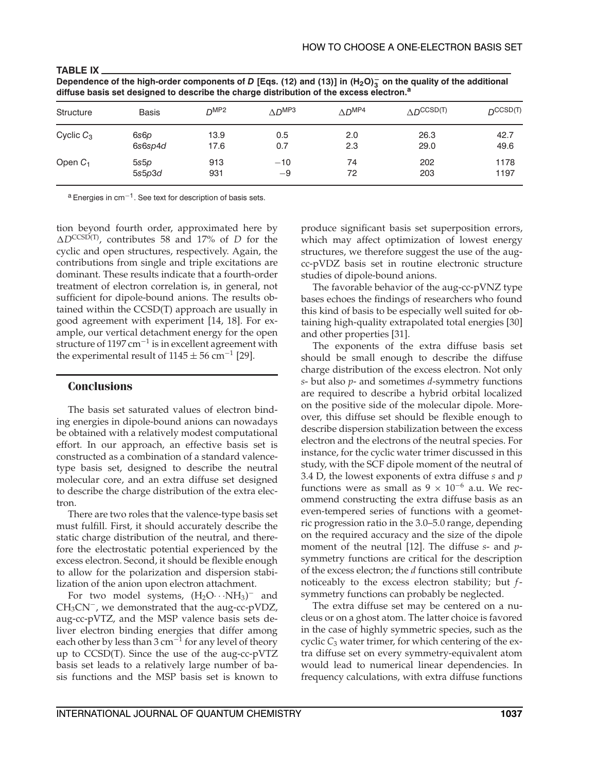Dependence of the high-order components of *D* [Eqs. (12) and (13)] in (H<sub>2</sub>O)<sub>3</sub> on the quality of the additional **diffuse basis set designed to describe the charge distribution of the excess electron.a**

| Structure    | <b>Basis</b> | $n^{MP2}$ | $\Delta D^{\text{MP3}}$ | $\Delta D^{MP4}$ | $\triangle D^{CCSD(T)}$ | DCCSD(T) |
|--------------|--------------|-----------|-------------------------|------------------|-------------------------|----------|
| Cyclic $C_3$ | 6s6p         | 13.9      | 0.5                     | 2.0              | 26.3                    | 42.7     |
|              | 6s6sp4d      | 17.6      | 0.7                     | 2.3              | 29.0                    | 49.6     |
| Open $C_1$   | 5s5p         | 913       | $-10$                   | 74               | 202                     | 1178     |
|              | 5s5p3d       | 931       | $-9$                    | 72               | 203                     | 1197     |

<sup>a</sup> Energies in cm−1. See text for description of basis sets.

tion beyond fourth order, approximated here by  $\Delta D^{CCSD(T)}$ , contributes 58 and 17% of *D* for the cyclic and open structures, respectively. Again, the contributions from single and triple excitations are dominant. These results indicate that a fourth-order treatment of electron correlation is, in general, not sufficient for dipole-bound anions. The results obtained within the CCSD(T) approach are usually in good agreement with experiment [14, 18]. For example, our vertical detachment energy for the open structure of 1197 cm<sup> $-1$ </sup> is in excellent agreement with the experimental result of  $1145 \pm 56$  cm<sup>-1</sup> [29].

## **Conclusions**

The basis set saturated values of electron binding energies in dipole-bound anions can nowadays be obtained with a relatively modest computational effort. In our approach, an effective basis set is constructed as a combination of a standard valencetype basis set, designed to describe the neutral molecular core, and an extra diffuse set designed to describe the charge distribution of the extra electron.

There are two roles that the valence-type basis set must fulfill. First, it should accurately describe the static charge distribution of the neutral, and therefore the electrostatic potential experienced by the excess electron. Second, it should be flexible enough to allow for the polarization and dispersion stabilization of the anion upon electron attachment.

For two model systems,  $(H_2O \cdots NH_3)^-$  and CH3CN−, we demonstrated that the aug-cc-pVDZ, aug-cc-pVTZ, and the MSP valence basis sets deliver electron binding energies that differ among each other by less than  $3 \text{ cm}^{-1}$  for any level of theory up to CCSD(T). Since the use of the aug-cc-pVTZ basis set leads to a relatively large number of basis functions and the MSP basis set is known to produce significant basis set superposition errors, which may affect optimization of lowest energy structures, we therefore suggest the use of the augcc-pVDZ basis set in routine electronic structure studies of dipole-bound anions.

The favorable behavior of the aug-cc-pVNZ type bases echoes the findings of researchers who found this kind of basis to be especially well suited for obtaining high-quality extrapolated total energies [30] and other properties [31].

The exponents of the extra diffuse basis set should be small enough to describe the diffuse charge distribution of the excess electron. Not only *s*- but also *p*- and sometimes *d*-symmetry functions are required to describe a hybrid orbital localized on the positive side of the molecular dipole. Moreover, this diffuse set should be flexible enough to describe dispersion stabilization between the excess electron and the electrons of the neutral species. For instance, for the cyclic water trimer discussed in this study, with the SCF dipole moment of the neutral of 3.4 D, the lowest exponents of extra diffuse *s* and *p* functions were as small as  $9 \times 10^{-6}$  a.u. We recommend constructing the extra diffuse basis as an even-tempered series of functions with a geometric progression ratio in the 3.0–5.0 range, depending on the required accuracy and the size of the dipole moment of the neutral [12]. The diffuse *s*- and *p*symmetry functions are critical for the description of the excess electron; the *d* functions still contribute noticeably to the excess electron stability; but *f*symmetry functions can probably be neglected.

The extra diffuse set may be centered on a nucleus or on a ghost atom. The latter choice is favored in the case of highly symmetric species, such as the cyclic *C*<sup>3</sup> water trimer, for which centering of the extra diffuse set on every symmetry-equivalent atom would lead to numerical linear dependencies. In frequency calculations, with extra diffuse functions